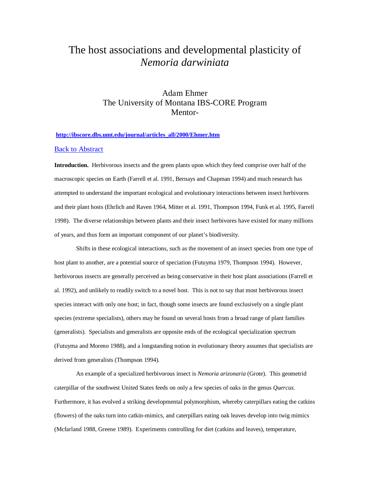# The host associations and developmental plasticity of *Nemoria darwiniata*

## Adam Ehmer The University of Montana IBS-CORE Program Mentor-

#### **[http://ibscore.dbs.umt.edu/journal/articles\\_all/2000/Ehmer.htm](http://ibscore.dbs.umt.edu/journal/articles_all/2000/Ehmer.htm)**

### Back to Abstract

**Introduction.** Herbivorous insects and the green plants upon which they feed comprise over half of the macroscopic species on Earth (Farrell et al. 1991, Bernays and Chapman 1994) and much research has attempted to understand the important ecological and evolutionary interactions between insect herbivores and their plant hosts (Ehrlich and Raven 1964, Mitter et al. 1991, Thompson 1994, Funk et al. 1995, Farrell 1998). The diverse relationships between plants and their insect herbivores have existed for many millions of years, and thus form an important component of our planet's biodiversity.

Shifts in these ecological interactions, such as the movement of an insect species from one type of host plant to another, are a potential source of speciation (Futuyma 1979, Thompson 1994). However, herbivorous insects are generally perceived as being conservative in their host plant associations (Farrell et al. 1992), and unlikely to readily switch to a novel host. This is not to say that most herbivorous insect species interact with only one host; in fact, though some insects are found exclusively on a single plant species (extreme specialists), others may be found on several hosts from a broad range of plant families (generalists). Specialists and generalists are opposite ends of the ecological specialization spectrum (Futuyma and Moreno 1988), and a longstanding notion in evolutionary theory assumes that specialists are derived from generalists (Thompson 1994).

An example of a specialized herbivorous insect is *Nemoria arizonaria* (Grote). This geometrid caterpillar of the southwest United States feeds on only a few species of oaks in the genus *Quercus*. Furthermore, it has evolved a striking developmental polymorphism, whereby caterpillars eating the catkins (flowers) of the oaks turn into catkin-mimics, and caterpillars eating oak leaves develop into twig mimics (Mcfarland 1988, Greene 1989). Experiments controlling for diet (catkins and leaves), temperature,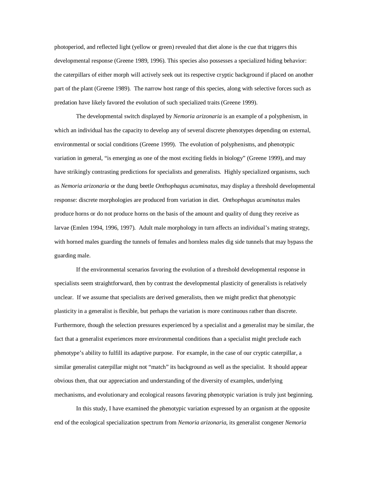photoperiod, and reflected light (yellow or green) revealed that diet alone is the cue that triggers this developmental response (Greene 1989, 1996). This species also possesses a specialized hiding behavior: the caterpillars of either morph will actively seek out its respective cryptic background if placed on another part of the plant (Greene 1989). The narrow host range of this species, along with selective forces such as predation have likely favored the evolution of such specialized traits (Greene 1999).

The developmental switch displayed by *Nemoria arizonaria* is an example of a polyphenism, in which an individual has the capacity to develop any of several discrete phenotypes depending on external, environmental or social conditions (Greene 1999). The evolution of polyphenisms, and phenotypic variation in general, "is emerging as one of the most exciting fields in biology" (Greene 1999), and may have strikingly contrasting predictions for specialists and generalists. Highly specialized organisms, such as *Nemoria arizonaria* or the dung beetle *Onthophagus acuminatus*, may display a threshold developmental response: discrete morphologies are produced from variation in diet. *Onthophagus acuminatus* males produce horns or do not produce horns on the basis of the amount and quality of dung they receive as larvae (Emlen 1994, 1996, 1997). Adult male morphology in turn affects an individual's mating strategy, with horned males guarding the tunnels of females and hornless males dig side tunnels that may bypass the guarding male.

If the environmental scenarios favoring the evolution of a threshold developmental response in specialists seem straightforward, then by contrast the developmental plasticity of generalists is relatively unclear. If we assume that specialists are derived generalists, then we might predict that phenotypic plasticity in a generalist is flexible, but perhaps the variation is more continuous rather than discrete. Furthermore, though the selection pressures experienced by a specialist and a generalist may be similar, the fact that a generalist experiences more environmental conditions than a specialist might preclude each phenotype's ability to fulfill its adaptive purpose. For example, in the case of our cryptic caterpillar, a similar generalist caterpillar might not "match" its background as well as the specialist. It should appear obvious then, that our appreciation and understanding of the diversity of examples, underlying mechanisms, and evolutionary and ecological reasons favoring phenotypic variation is truly just beginning.

In this study, I have examined the phenotypic variation expressed by an organism at the opposite end of the ecological specialization spectrum from *Nemoria arizonaria*, its generalist congener *Nemoria*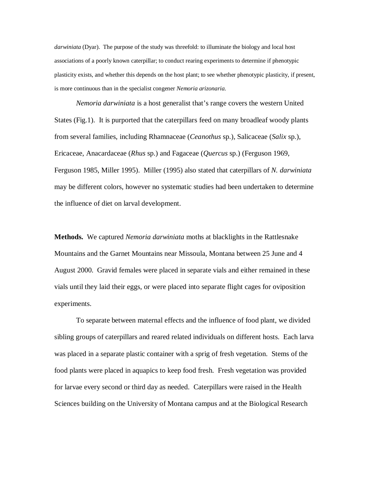*darwiniata* (Dyar). The purpose of the study was threefold: to illuminate the biology and local host associations of a poorly known caterpillar; to conduct rearing experiments to determine if phenotypic plasticity exists, and whether this depends on the host plant; to see whether phenotypic plasticity, if present, is more continuous than in the specialist congener *Nemoria arizonaria.*

*Nemoria darwiniata* is a host generalist that's range covers the western United States (Fig.1). It is purported that the caterpillars feed on many broadleaf woody plants from several families, including Rhamnaceae (*Ceanothus* sp.)*,* Salicaceae (*Salix* sp.), Ericaceae, Anacardaceae (*Rhus* sp.) and Fagaceae (*Quercus* sp.) (Ferguson 1969, Ferguson 1985, Miller 1995). Miller (1995) also stated that caterpillars of *N. darwiniata* may be different colors, however no systematic studies had been undertaken to determine the influence of diet on larval development.

**Methods.** We captured *Nemoria darwiniata* moths at blacklights in the Rattlesnake Mountains and the Garnet Mountains near Missoula, Montana between 25 June and 4 August 2000. Gravid females were placed in separate vials and either remained in these vials until they laid their eggs, or were placed into separate flight cages for oviposition experiments.

To separate between maternal effects and the influence of food plant, we divided sibling groups of caterpillars and reared related individuals on different hosts. Each larva was placed in a separate plastic container with a sprig of fresh vegetation. Stems of the food plants were placed in aquapics to keep food fresh. Fresh vegetation was provided for larvae every second or third day as needed. Caterpillars were raised in the Health Sciences building on the University of Montana campus and at the Biological Research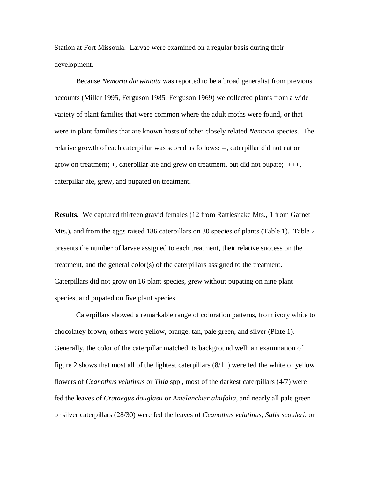Station at Fort Missoula. Larvae were examined on a regular basis during their development.

Because *Nemoria darwiniata* was reported to be a broad generalist from previous accounts (Miller 1995, Ferguson 1985, Ferguson 1969) we collected plants from a wide variety of plant families that were common where the adult moths were found, or that were in plant families that are known hosts of other closely related *Nemoria* species. The relative growth of each caterpillar was scored as follows: --, caterpillar did not eat or grow on treatment; +, caterpillar ate and grew on treatment, but did not pupate; +++, caterpillar ate, grew, and pupated on treatment.

**Results.** We captured thirteen gravid females (12 from Rattlesnake Mts., 1 from Garnet Mts.), and from the eggs raised 186 caterpillars on 30 species of plants (Table 1). Table 2 presents the number of larvae assigned to each treatment, their relative success on the treatment, and the general color(s) of the caterpillars assigned to the treatment. Caterpillars did not grow on 16 plant species, grew without pupating on nine plant species, and pupated on five plant species.

Caterpillars showed a remarkable range of coloration patterns, from ivory white to chocolatey brown, others were yellow, orange, tan, pale green, and silver (Plate 1). Generally, the color of the caterpillar matched its background well: an examination of figure 2 shows that most all of the lightest caterpillars (8/11) were fed the white or yellow flowers of *Ceanothus velutinus* or *Tilia* spp., most of the darkest caterpillars (4/7) were fed the leaves of *Crataegus douglasii* or *Amelanchier alnifolia*, and nearly all pale green or silver caterpillars (28/30) were fed the leaves of *Ceanothus velutinus*, *Salix scouleri*, or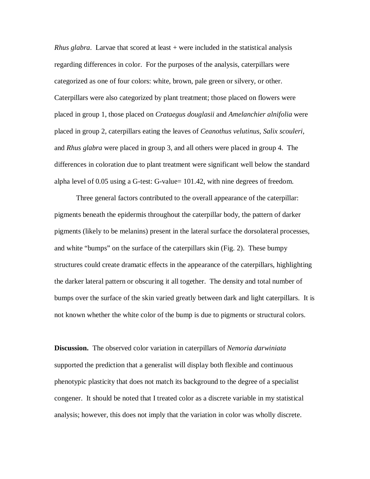*Rhus glabra*. Larvae that scored at least + were included in the statistical analysis regarding differences in color. For the purposes of the analysis, caterpillars were categorized as one of four colors: white, brown, pale green or silvery, or other. Caterpillars were also categorized by plant treatment; those placed on flowers were placed in group 1, those placed on *Crataegus douglasii* and *Amelanchier alnifolia* were placed in group 2, caterpillars eating the leaves of *Ceanothus velutinus, Salix scouleri,* and *Rhus glabra* were placed in group 3, and all others were placed in group 4. The differences in coloration due to plant treatment were significant well below the standard alpha level of 0.05 using a G-test: G-value= 101.42, with nine degrees of freedom.

Three general factors contributed to the overall appearance of the caterpillar: pigments beneath the epidermis throughout the caterpillar body, the pattern of darker pigments (likely to be melanins) present in the lateral surface the dorsolateral processes, and white "bumps" on the surface of the caterpillars skin (Fig. 2). These bumpy structures could create dramatic effects in the appearance of the caterpillars, highlighting the darker lateral pattern or obscuring it all together. The density and total number of bumps over the surface of the skin varied greatly between dark and light caterpillars. It is not known whether the white color of the bump is due to pigments or structural colors.

**Discussion.** The observed color variation in caterpillars of *Nemoria darwiniata* supported the prediction that a generalist will display both flexible and continuous phenotypic plasticity that does not match its background to the degree of a specialist congener. It should be noted that I treated color as a discrete variable in my statistical analysis; however, this does not imply that the variation in color was wholly discrete.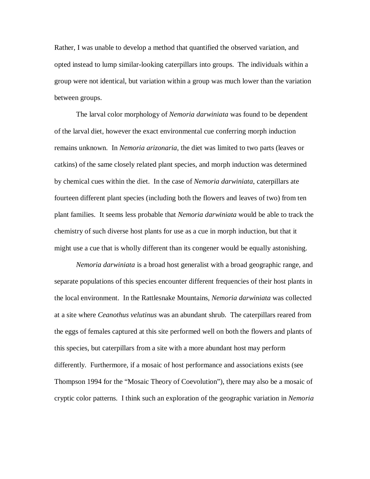Rather, I was unable to develop a method that quantified the observed variation, and opted instead to lump similar-looking caterpillars into groups. The individuals within a group were not identical, but variation within a group was much lower than the variation between groups.

The larval color morphology of *Nemoria darwiniata* was found to be dependent of the larval diet, however the exact environmental cue conferring morph induction remains unknown. In *Nemoria arizonaria*, the diet was limited to two parts (leaves or catkins) of the same closely related plant species, and morph induction was determined by chemical cues within the diet. In the case of *Nemoria darwiniata*, caterpillars ate fourteen different plant species (including both the flowers and leaves of two) from ten plant families. It seems less probable that *Nemoria darwiniata* would be able to track the chemistry of such diverse host plants for use as a cue in morph induction, but that it might use a cue that is wholly different than its congener would be equally astonishing.

*Nemoria darwiniata* is a broad host generalist with a broad geographic range, and separate populations of this species encounter different frequencies of their host plants in the local environment. In the Rattlesnake Mountains, *Nemoria darwiniata* was collected at a site where *Ceanothus velutinus* was an abundant shrub. The caterpillars reared from the eggs of females captured at this site performed well on both the flowers and plants of this species, but caterpillars from a site with a more abundant host may perform differently. Furthermore, if a mosaic of host performance and associations exists (see Thompson 1994 for the "Mosaic Theory of Coevolution"), there may also be a mosaic of cryptic color patterns. I think such an exploration of the geographic variation in *Nemoria*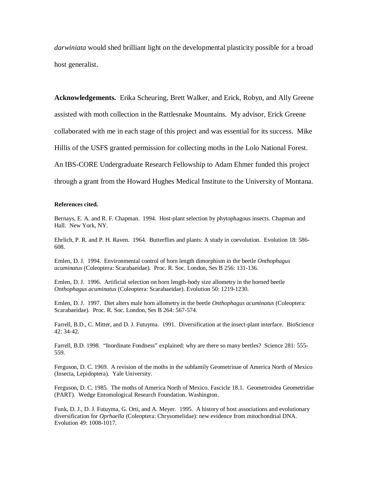*darwiniata* would shed brilliant light on the developmental plasticity possible for a broad host generalist.

**Acknowledgements.** Erika Scheuring, Brett Walker, and Erick, Robyn, and Ally Greene assisted with moth collection in the Rattlesnake Mountains. My advisor, Erick Greene collaborated with me in each stage of this project and was essential for its success. Mike Hillis of the USFS granted permission for collecting moths in the Lolo National Forest. An IBS-CORE Undergraduate Research Fellowship to Adam Ehmer funded this project through a grant from the Howard Hughes Medical Institute to the University of Montana.

#### **References cited.**

Bernays, E. A. and R. F. Chapman. 1994. Host-plant selection by phytophagous insects. Chapman and Hall. New York, NY.

Ehrlich, P. R. and P. H. Raven. 1964. Butterflies and plants: A study in coevolution. Evolution 18: 586- 608.

Emlen, D. J. 1994. Environmental control of horn length dimorphism in the beetle *Onthophagus acuminatus* (Coleoptera: Scarabaeidae). Proc. R. Soc. London, Ses B 256: 131-136.

Emlen, D. J. 1996. Artificial selection on horn length-body size allometry in the horned beetle *Onthophagus acuminatus* (Coleoptera: Scarabaeidae). Evolution 50: 1219-1230.

Emlen, D. J. 1997. Diet alters male horn allometry in the beetle *Onthophagus acuminatus* (Coleoptera: Scarabaeidae). Proc. R. Soc. London, Ses B 264: 567-574.

Farrell, B.D., C. Mitter, and D. J. Futuyma. 1991. Diversification at the insect-plant interface. BioScience 42: 34-42.

Farrell, B.D. 1998. "Inordinate Fondness" explained: why are there so many beetles? Science 281: 555- 559.

Ferguson, D. C. 1969. A revision of the moths in the subfamily Geometrinae of America North of Mexico (Insecta, Lepidoptera). Yale University.

Ferguson, D. C. 1985. The moths of America North of Mexico. Fascicle 18.1. Geometroidea Geometridae (PART). Wedge Entomological Research Foundation. Washington.

Funk, D. J., D. J. Futuyma, G. Orti, and A. Meyer. 1995. A history of host associations and evolutionary diversification for *Oprhaella* (Coleoptera: Chrysomelidae): new evidence from mitochondrial DNA. Evolution 49: 1008-1017.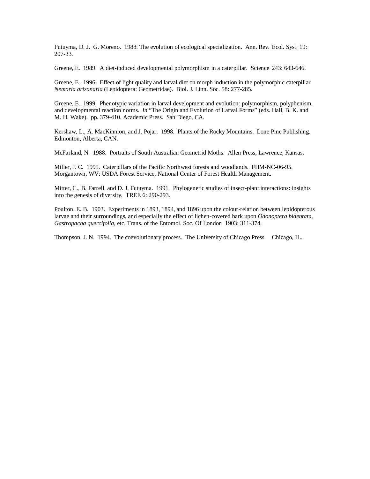Futuyma, D. J. G. Moreno. 1988. The evolution of ecological specialization. Ann. Rev. Ecol. Syst. 19: 207-33.

Greene, E. 1989. A diet-induced developmental polymorphism in a caterpillar. Science 243: 643-646.

Greene, E. 1996. Effect of light quality and larval diet on morph induction in the polymorphic caterpillar *Nemoria arizonaria* (Lepidoptera: Geometridae). Biol. J. Linn. Soc. 58: 277-285.

Greene, E. 1999. Phenotypic variation in larval development and evolution: polymorphism, polyphenism, and developmental reaction norms. *In* "The Origin and Evolution of Larval Forms" (eds. Hall, B. K. and M. H. Wake). pp. 379-410. Academic Press. San Diego, CA.

Kershaw, L., A. MacKinnion, and J. Pojar. 1998. Plants of the Rocky Mountains. Lone Pine Publishing. Edmonton, Alberta, CAN.

McFarland, N. 1988. Portraits of South Australian Geometrid Moths. Allen Press, Lawrence, Kansas.

Miller, J. C. 1995. Caterpillars of the Pacific Northwest forests and woodlands. FHM-NC-06-95. Morgantown, WV: USDA Forest Service, National Center of Forest Health Management.

Mitter, C., B. Farrell, and D. J. Futuyma. 1991. Phylogenetic studies of insect-plant interactions: insights into the genesis of diversity. TREE 6: 290-293.

Poulton, E. B. 1903. Experiments in 1893, 1894, and 1896 upon the colour-relation between lepidopterous larvae and their surroundings, and especially the effect of lichen-covered bark upon *Odonoptera bidentata, Gastropacha quercifolia,* etc. Trans. of the Entomol. Soc. Of London 1903: 311-374.

Thompson, J. N. 1994. The coevolutionary process. The University of Chicago Press. Chicago, IL.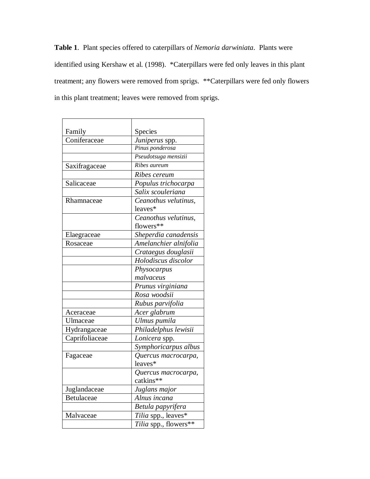**Table 1**. Plant species offered to caterpillars of *Nemoria darwiniata*. Plants were identified using Kershaw et al. (1998). \*Caterpillars were fed only leaves in this plant treatment; any flowers were removed from sprigs. \*\*Caterpillars were fed only flowers in this plant treatment; leaves were removed from sprigs.

| Family                              | Species               |  |  |
|-------------------------------------|-----------------------|--|--|
| Coniferaceae                        | Juniperus spp.        |  |  |
|                                     | Pinus ponderosa       |  |  |
|                                     | Pseudotsuga mensizii  |  |  |
| Saxifragaceae                       | Ribes aureum          |  |  |
|                                     | Ribes cereum          |  |  |
| Salicaceae                          | Populus trichocarpa   |  |  |
|                                     | Salix scouleriana     |  |  |
| Rhamnaceae                          | Ceanothus velutinus.  |  |  |
|                                     | leaves*               |  |  |
|                                     | Ceanothus velutinus.  |  |  |
|                                     | flowers**             |  |  |
| Elaegraceae                         | Sheperdia canadensis  |  |  |
| Rosaceae                            | Amelanchier alnifolia |  |  |
|                                     | Crataegus douglasii   |  |  |
|                                     | Holodiscus discolor   |  |  |
|                                     | Physocarpus           |  |  |
|                                     | malvaceus             |  |  |
|                                     | Prunus virginiana     |  |  |
|                                     | Rosa woodsii          |  |  |
|                                     | Rubus parvifolia      |  |  |
| Aceraceae                           | Acer glabrum          |  |  |
| Ulmaceae                            | Ulmus pumila          |  |  |
| Hydrangaceae                        | Philadelphus lewisii  |  |  |
| $\overline{\text{C}}$ aprifoliaceae | Lonicera spp.         |  |  |
|                                     | Symphoricarpus albus  |  |  |
| Fagaceae                            | Quercus macrocarpa,   |  |  |
|                                     | leaves*               |  |  |
|                                     | Quercus macrocarpa,   |  |  |
|                                     | catkins**             |  |  |
| Juglandaceae                        | Juglans major         |  |  |
| Betulaceae                          | Alnus incana          |  |  |
|                                     | Betula papyrifera     |  |  |
| Malvaceae                           | Tilia spp., leaves*   |  |  |
|                                     | Tilia spp., flowers** |  |  |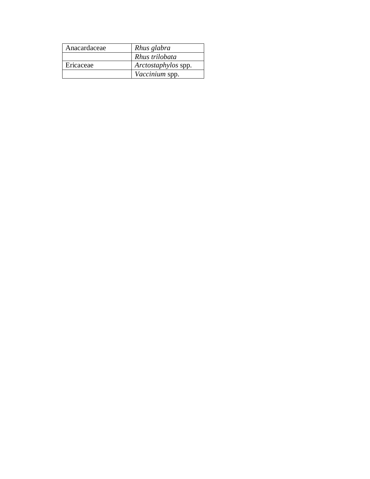| Anacardaceae | Rhus glabra         |
|--------------|---------------------|
|              | Rhus trilobata      |
| Ericaceae    | Arctostaphylos spp. |
|              | Vaccinium spp.      |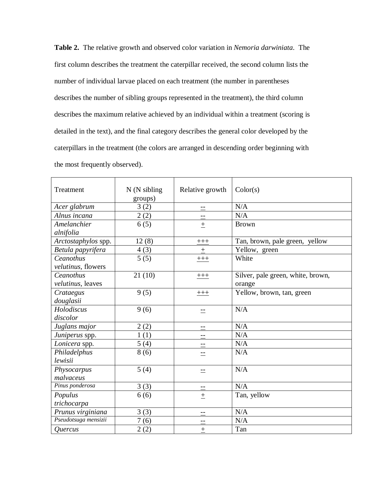**Table 2.** The relative growth and observed color variation in *Nemoria darwiniata*. The first column describes the treatment the caterpillar received, the second column lists the number of individual larvae placed on each treatment (the number in parentheses describes the number of sibling groups represented in the treatment), the third column describes the maximum relative achieved by an individual within a treatment (scoring is detailed in the text), and the final category describes the general color developed by the caterpillars in the treatment (the colors are arranged in descending order beginning with the most frequently observed).

| Treatment                       | $N(N \text{ sibling})$<br>groups) | Relative growth | Color(s)                                    |
|---------------------------------|-----------------------------------|-----------------|---------------------------------------------|
| Acer glabrum                    | 3(2)                              | $-$             | N/A                                         |
| Alnus incana                    | 2(2)                              |                 | N/A                                         |
| Amelanchier<br>alnifolia        | 6(5)                              | $\pm$           | <b>Brown</b>                                |
| Arctostaphylos spp.             | 12(8)                             | $+++$           | Tan, brown, pale green, yellow              |
| Betula papyrifera               | 4(3)                              | $\pm$           | Yellow, green                               |
| Ceanothus<br>velutinus, flowers | $\overline{5(5)}$                 | $+++$           | White                                       |
| Ceanothus<br>velutinus, leaves  | 21(10)                            | $+ + +$         | Silver, pale green, white, brown,<br>orange |
| Crataegus<br>douglasii          | 9(5)                              | $^{+++}$        | Yellow, brown, tan, green                   |
| Holodiscus<br>discolor          | 9(6)                              | $=$             | N/A                                         |
| Juglans major                   | 2(2)                              | $\equiv$        | N/A                                         |
| Juniperus spp.                  | 1(1)                              | $-$             | N/A                                         |
| Lonicera spp.                   | 5(4)                              | $\equiv$        | N/A                                         |
| Philadelphus<br>lewisii         | 8(6)                              |                 | N/A                                         |
| Physocarpus<br>malvaceus        | 5(4)                              | $=$             | N/A                                         |
| Pinus ponderosa                 | 3(3)                              |                 | N/A                                         |
| Populus<br>trichocarpa          | 6(6)                              | $\pm$           | Tan, yellow                                 |
| Prunus virginiana               | 3(3)                              | $=$             | N/A                                         |
| Pseudotsuga mensizii            | 7(6)                              |                 | N/A                                         |
| Quercus                         | 2(2)                              | $\pm$           | Tan                                         |